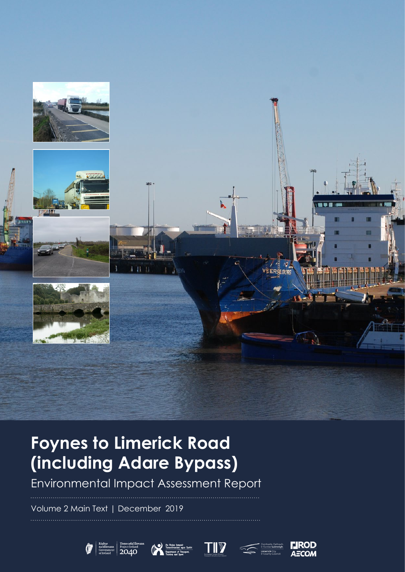

# **Foynes to Limerick Road (including Adare Bypass)**

Environmental Impact Assessment Report

Volume 2 Main Text | December 2019









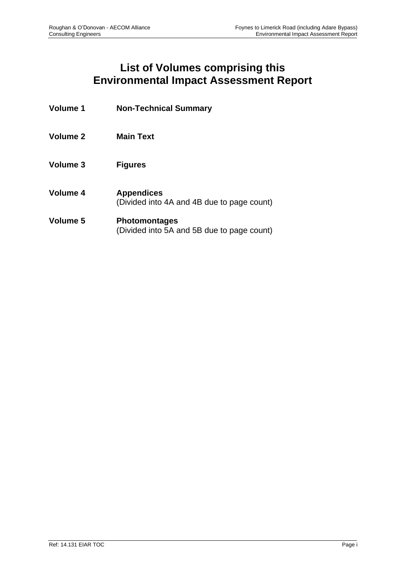## **List of Volumes comprising this Environmental Impact Assessment Report**

| <b>Volume 1</b> | <b>Non-Technical Summary</b>                                       |
|-----------------|--------------------------------------------------------------------|
| <b>Volume 2</b> | <b>Main Text</b>                                                   |
| <b>Volume 3</b> | <b>Figures</b>                                                     |
| Volume 4        | <b>Appendices</b><br>(Divided into 4A and 4B due to page count)    |
| <b>Volume 5</b> | <b>Photomontages</b><br>(Divided into 5A and 5B due to page count) |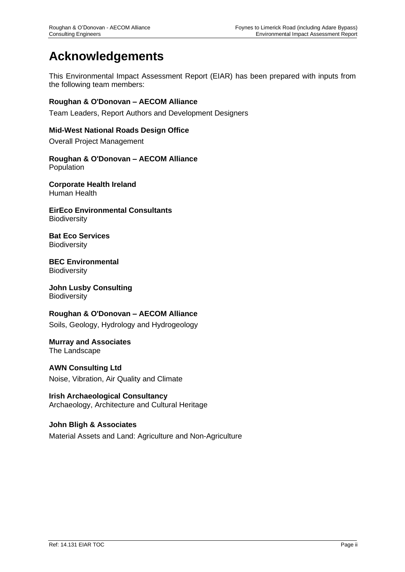## **Acknowledgements**

This Environmental Impact Assessment Report (EIAR) has been prepared with inputs from the following team members:

## **Roughan & O'Donovan – AECOM Alliance**

Team Leaders, Report Authors and Development Designers

### **Mid-West National Roads Design Office**

Overall Project Management

#### **Roughan & O'Donovan – AECOM Alliance** Population

**Corporate Health Ireland** Human Health

**EirEco Environmental Consultants Biodiversity** 

**Bat Eco Services Biodiversity** 

**BEC Environmental Biodiversity** 

#### **John Lusby Consulting Biodiversity**

## **Roughan & O'Donovan – AECOM Alliance**

Soils, Geology, Hydrology and Hydrogeology

#### **Murray and Associates** The Landscape

## **AWN Consulting Ltd**

Noise, Vibration, Air Quality and Climate

**Irish Archaeological Consultancy**  Archaeology, Architecture and Cultural Heritage

## **John Bligh & Associates** Material Assets and Land: Agriculture and Non-Agriculture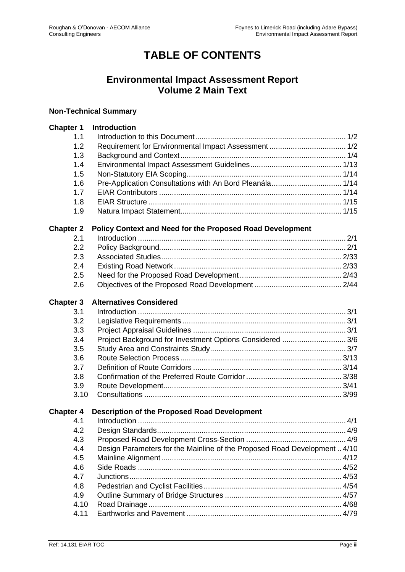## **TABLE OF CONTENTS**

## **Environmental Impact Assessment Report Volume 2 Main Text**

## **Non-Technical Summary**

| <b>Chapter 1</b> | <b>Introduction</b>                                                       |  |
|------------------|---------------------------------------------------------------------------|--|
| 1.1              |                                                                           |  |
| 1.2              |                                                                           |  |
| 1.3              |                                                                           |  |
| 1.4              |                                                                           |  |
| 1.5              |                                                                           |  |
| 1.6              | Pre-Application Consultations with An Bord Pleanála 1/14                  |  |
| 1.7              |                                                                           |  |
| 1.8              |                                                                           |  |
| 1.9              |                                                                           |  |
| <b>Chapter 2</b> | Policy Context and Need for the Proposed Road Development                 |  |
| 2.1              |                                                                           |  |
| 2.2              |                                                                           |  |
| 2.3              |                                                                           |  |
| 2.4              |                                                                           |  |
| 2.5              |                                                                           |  |
| 2.6              |                                                                           |  |
| <b>Chapter 3</b> | <b>Alternatives Considered</b>                                            |  |
| 3.1              |                                                                           |  |
| 3.2              |                                                                           |  |
| 3.3              |                                                                           |  |
| 3.4              | Project Background for Investment Options Considered  3/6                 |  |
| 3.5              |                                                                           |  |
| 3.6              |                                                                           |  |
| 3.7              |                                                                           |  |
| 3.8              |                                                                           |  |
| 3.9              |                                                                           |  |
| 3.10             |                                                                           |  |
| <b>Chapter 4</b> | Description of the Proposed Road Development                              |  |
| 4.1              |                                                                           |  |
| 4.2              |                                                                           |  |
| 4.3              |                                                                           |  |
| 4.4              | Design Parameters for the Mainline of the Proposed Road Development  4/10 |  |
| 4.5              |                                                                           |  |
| 4.6              |                                                                           |  |
| 4.7              |                                                                           |  |
| 4.8              |                                                                           |  |
| 4.9              |                                                                           |  |
| 4.10             |                                                                           |  |
| 4.11             |                                                                           |  |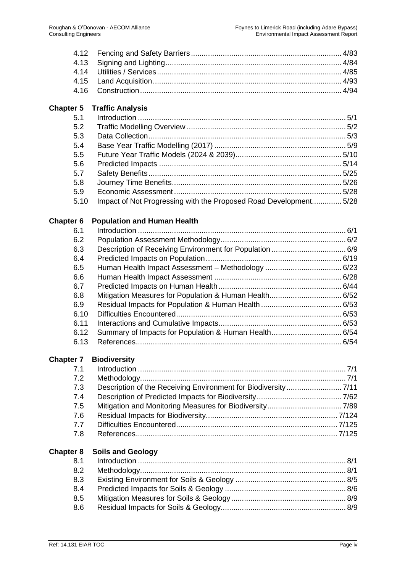## **Chapter 5 Traffic Analysis**

| 5.1  |                                                                  |  |
|------|------------------------------------------------------------------|--|
| 5.2  |                                                                  |  |
| 5.3  |                                                                  |  |
| 5.4  |                                                                  |  |
| 5.5  |                                                                  |  |
| 5.6  |                                                                  |  |
| 5.7  |                                                                  |  |
| 5.8  |                                                                  |  |
| 5.9  |                                                                  |  |
| 5.10 | Impact of Not Progressing with the Proposed Road Development5/28 |  |

## **Chapter 6 Population and Human Health**

| 6.1  |  |
|------|--|
| 6.2  |  |
| 6.3  |  |
| 6.4  |  |
| 6.5  |  |
| 6.6  |  |
| 6.7  |  |
| 6.8  |  |
| 6.9  |  |
| 6.10 |  |
| 6.11 |  |
| 6.12 |  |
| 6.13 |  |

## **Chapter 7 Biodiversity**

| 7.2 |  |
|-----|--|
| 7.3 |  |
| 7.4 |  |
| 7.5 |  |
| 7.6 |  |
| 7.7 |  |
| 7.8 |  |

## **Chapter 8 Soils and Geology**

| 8.2 |  |
|-----|--|
|     |  |
| 8.4 |  |
| 8.5 |  |
| 8.6 |  |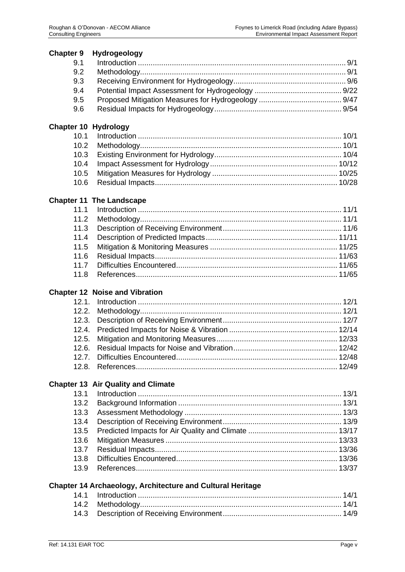| <b>Chapter 9</b>            | Hydrogeology                                                      |  |
|-----------------------------|-------------------------------------------------------------------|--|
| 9.1                         |                                                                   |  |
| 9.2                         |                                                                   |  |
| 9.3                         |                                                                   |  |
| 9.4                         |                                                                   |  |
| 9.5                         |                                                                   |  |
| 9.6                         |                                                                   |  |
| <b>Chapter 10 Hydrology</b> |                                                                   |  |
| 10.1                        |                                                                   |  |
| 10.2                        |                                                                   |  |
| 10.3                        |                                                                   |  |
| 10.4                        |                                                                   |  |
| 10.5                        |                                                                   |  |
| 10.6                        |                                                                   |  |
|                             | <b>Chapter 11 The Landscape</b>                                   |  |
| 11.1                        |                                                                   |  |
| 11.2                        |                                                                   |  |
| 11.3                        |                                                                   |  |
| 11.4                        |                                                                   |  |
| 11.5                        |                                                                   |  |
| 11.6                        |                                                                   |  |
| 11.7                        |                                                                   |  |
| 11.8                        |                                                                   |  |
|                             | <b>Chapter 12 Noise and Vibration</b>                             |  |
| 12.1.                       |                                                                   |  |
| 12.2.                       |                                                                   |  |
| 12.3.                       |                                                                   |  |
| 12.4.                       |                                                                   |  |
| 12.5.                       |                                                                   |  |
| 12.6.                       |                                                                   |  |
| 12.7.                       |                                                                   |  |
| 12.8.                       |                                                                   |  |
|                             | <b>Chapter 13 Air Quality and Climate</b>                         |  |
| 13.1                        |                                                                   |  |
| 13.2                        |                                                                   |  |
| 13.3                        |                                                                   |  |
| 13.4                        |                                                                   |  |
| 13.5                        |                                                                   |  |
| 13.6                        |                                                                   |  |
| 13.7                        |                                                                   |  |
| 13.8                        |                                                                   |  |
| 13.9                        |                                                                   |  |
|                             | <b>Chapter 14 Archaeology, Architecture and Cultural Heritage</b> |  |
| 14.1                        |                                                                   |  |
| 14.2                        |                                                                   |  |
| 14.3                        |                                                                   |  |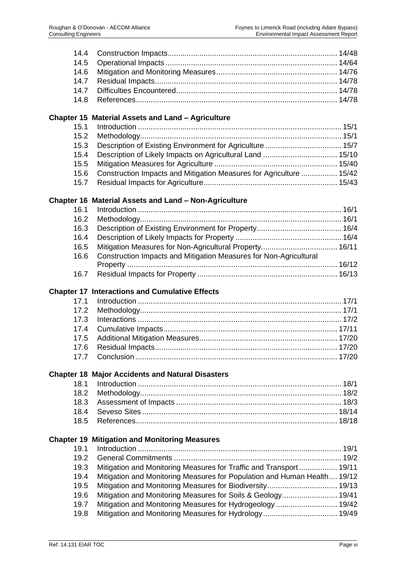## **Chapter 15 Material Assets and Land – Agriculture**

| 15.6 Construction Impacts and Mitigation Measures for Agriculture  15/42 |  |
|--------------------------------------------------------------------------|--|
|                                                                          |  |

### **Chapter 16 Material Assets and Land – Non-Agriculture**

| 16.6 Construction Impacts and Mitigation Measures for Non-Agricultural |  |
|------------------------------------------------------------------------|--|
|                                                                        |  |
|                                                                        |  |

### **Chapter 17 Interactions and Cumulative Effects**

## **Chapter 18 Major Accidents and Natural Disasters**

## **Chapter 19 Mitigation and Monitoring Measures**

| 19.2 |                                                                          |  |
|------|--------------------------------------------------------------------------|--|
| 19.3 | Mitigation and Monitoring Measures for Traffic and Transport  19/11      |  |
| 19.4 | Mitigation and Monitoring Measures for Population and Human Health 19/12 |  |
| 19.5 |                                                                          |  |
| 19.6 |                                                                          |  |
| 19.7 | Mitigation and Monitoring Measures for Hydrogeology  19/42               |  |
| 19.8 |                                                                          |  |